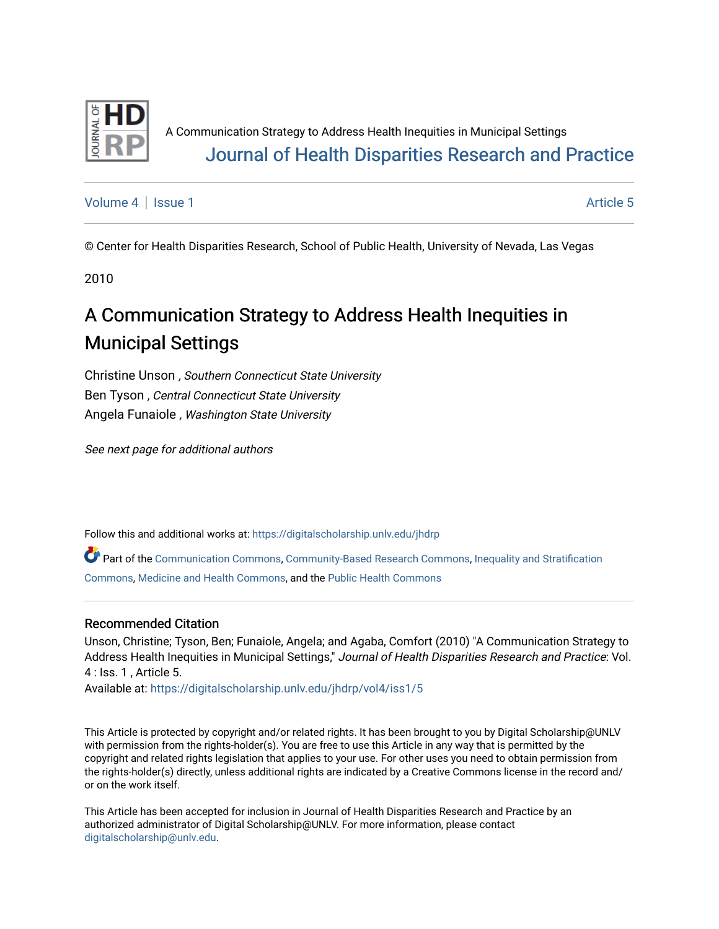

A Communication Strategy to Address Health Inequities in Municipal Settings [Journal of Health Disparities Research and Practice](https://digitalscholarship.unlv.edu/jhdrp) 

[Volume 4](https://digitalscholarship.unlv.edu/jhdrp/vol4) | [Issue 1](https://digitalscholarship.unlv.edu/jhdrp/vol4/iss1) Article 5

© Center for Health Disparities Research, School of Public Health, University of Nevada, Las Vegas

2010

## A Communication Strategy to Address Health Inequities in Municipal Settings

Christine Unson , Southern Connecticut State University Ben Tyson , Central Connecticut State University Angela Funaiole , Washington State University

See next page for additional authors

Follow this and additional works at: [https://digitalscholarship.unlv.edu/jhdrp](https://digitalscholarship.unlv.edu/jhdrp?utm_source=digitalscholarship.unlv.edu%2Fjhdrp%2Fvol4%2Fiss1%2F5&utm_medium=PDF&utm_campaign=PDFCoverPages) 

Part of the [Communication Commons,](http://network.bepress.com/hgg/discipline/325?utm_source=digitalscholarship.unlv.edu%2Fjhdrp%2Fvol4%2Fiss1%2F5&utm_medium=PDF&utm_campaign=PDFCoverPages) [Community-Based Research Commons](http://network.bepress.com/hgg/discipline/1047?utm_source=digitalscholarship.unlv.edu%2Fjhdrp%2Fvol4%2Fiss1%2F5&utm_medium=PDF&utm_campaign=PDFCoverPages), [Inequality and Stratification](http://network.bepress.com/hgg/discipline/421?utm_source=digitalscholarship.unlv.edu%2Fjhdrp%2Fvol4%2Fiss1%2F5&utm_medium=PDF&utm_campaign=PDFCoverPages) [Commons,](http://network.bepress.com/hgg/discipline/421?utm_source=digitalscholarship.unlv.edu%2Fjhdrp%2Fvol4%2Fiss1%2F5&utm_medium=PDF&utm_campaign=PDFCoverPages) [Medicine and Health Commons](http://network.bepress.com/hgg/discipline/422?utm_source=digitalscholarship.unlv.edu%2Fjhdrp%2Fvol4%2Fiss1%2F5&utm_medium=PDF&utm_campaign=PDFCoverPages), and the [Public Health Commons](http://network.bepress.com/hgg/discipline/738?utm_source=digitalscholarship.unlv.edu%2Fjhdrp%2Fvol4%2Fiss1%2F5&utm_medium=PDF&utm_campaign=PDFCoverPages)

#### Recommended Citation

Unson, Christine; Tyson, Ben; Funaiole, Angela; and Agaba, Comfort (2010) "A Communication Strategy to Address Health Inequities in Municipal Settings," Journal of Health Disparities Research and Practice: Vol. 4 : Iss. 1 , Article 5.

Available at: [https://digitalscholarship.unlv.edu/jhdrp/vol4/iss1/5](https://digitalscholarship.unlv.edu/jhdrp/vol4/iss1/5?utm_source=digitalscholarship.unlv.edu%2Fjhdrp%2Fvol4%2Fiss1%2F5&utm_medium=PDF&utm_campaign=PDFCoverPages)

This Article is protected by copyright and/or related rights. It has been brought to you by Digital Scholarship@UNLV with permission from the rights-holder(s). You are free to use this Article in any way that is permitted by the copyright and related rights legislation that applies to your use. For other uses you need to obtain permission from the rights-holder(s) directly, unless additional rights are indicated by a Creative Commons license in the record and/ or on the work itself.

This Article has been accepted for inclusion in Journal of Health Disparities Research and Practice by an authorized administrator of Digital Scholarship@UNLV. For more information, please contact [digitalscholarship@unlv.edu](mailto:digitalscholarship@unlv.edu).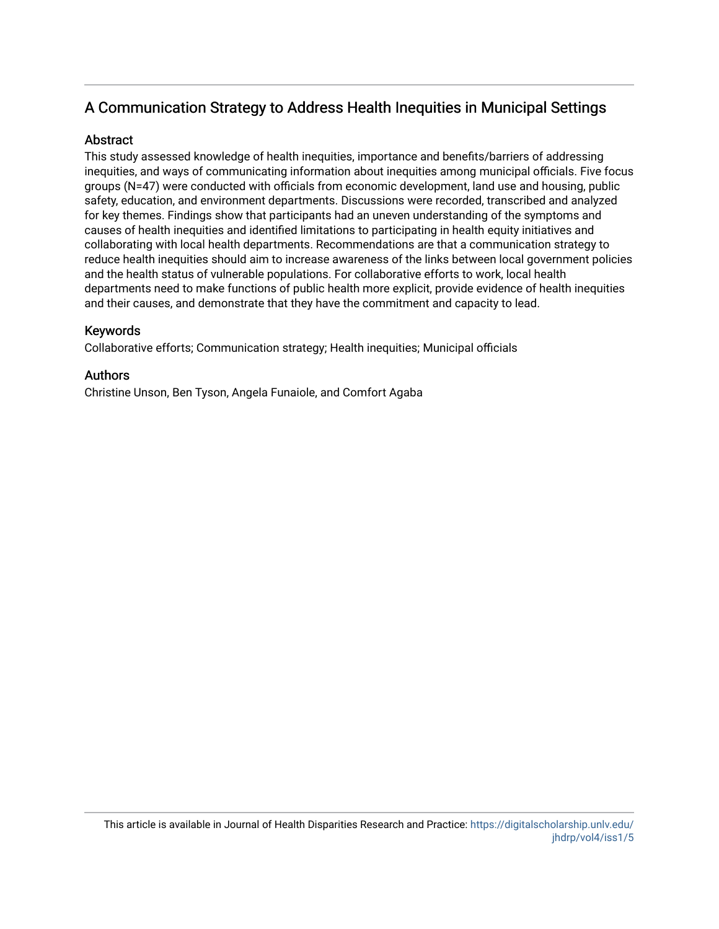### A Communication Strategy to Address Health Inequities in Municipal Settings

#### **Abstract**

This study assessed knowledge of health inequities, importance and benefits/barriers of addressing inequities, and ways of communicating information about inequities among municipal officials. Five focus groups (N=47) were conducted with officials from economic development, land use and housing, public safety, education, and environment departments. Discussions were recorded, transcribed and analyzed for key themes. Findings show that participants had an uneven understanding of the symptoms and causes of health inequities and identified limitations to participating in health equity initiatives and collaborating with local health departments. Recommendations are that a communication strategy to reduce health inequities should aim to increase awareness of the links between local government policies and the health status of vulnerable populations. For collaborative efforts to work, local health departments need to make functions of public health more explicit, provide evidence of health inequities and their causes, and demonstrate that they have the commitment and capacity to lead.

#### Keywords

Collaborative efforts; Communication strategy; Health inequities; Municipal officials

#### Authors

Christine Unson, Ben Tyson, Angela Funaiole, and Comfort Agaba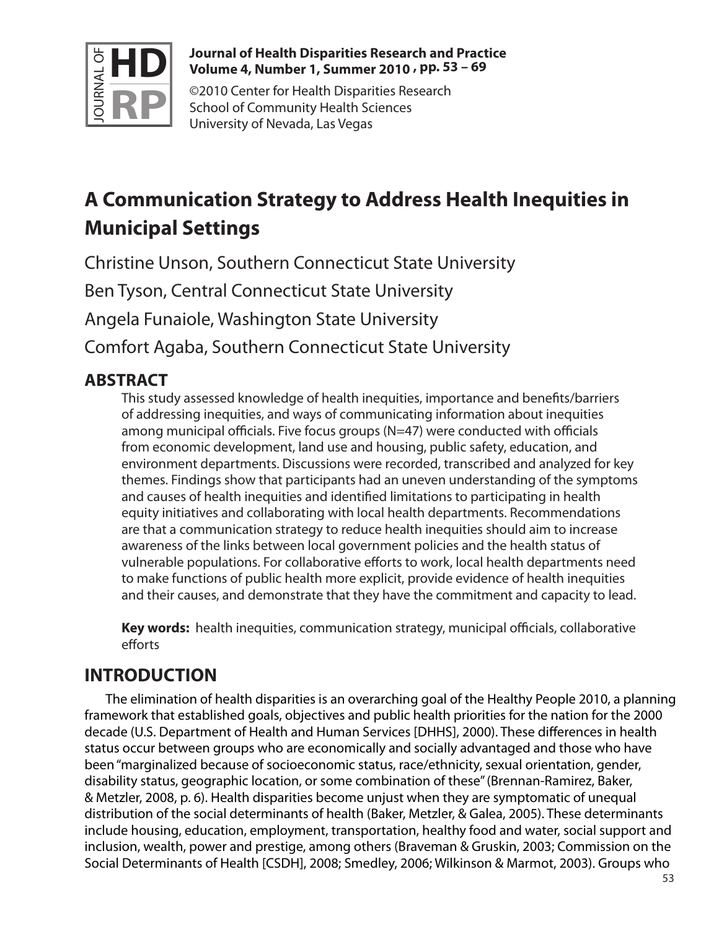

#### **Journal of Health Disparities Research and Practice Volume 4, Number 1, Summer 2010 , pp. 53 – 69**

©2010 Center for Health Disparities Research School of Community Health Sciences University of Nevada, Las Vegas

# **A Communication Strategy to Address Health Inequities in Municipal Settings**

Christine Unson, Southern Connecticut State University Ben Tyson, Central Connecticut State University

Angela Funaiole, Washington State University

Comfort Agaba, Southern Connecticut State University

## **ABSTRACT**

This study assessed knowledge of health inequities, importance and benefits/barriers of addressing inequities, and ways of communicating information about inequities among municipal officials. Five focus groups (N=47) were conducted with officials from economic development, land use and housing, public safety, education, and environment departments. Discussions were recorded, transcribed and analyzed for key themes. Findings show that participants had an uneven understanding of the symptoms and causes of health inequities and identified limitations to participating in health equity initiatives and collaborating with local health departments. Recommendations are that a communication strategy to reduce health inequities should aim to increase awareness of the links between local government policies and the health status of vulnerable populations. For collaborative efforts to work, local health departments need to make functions of public health more explicit, provide evidence of health inequities and their causes, and demonstrate that they have the commitment and capacity to lead.

**Key words:** health inequities, communication strategy, municipal officials, collaborative efforts

## **INTRODUCTION**

The elimination of health disparities is an overarching goal of the Healthy People 2010, a planning framework that established goals, objectives and public health priorities for the nation for the 2000 decade (U.S. Department of Health and Human Services [DHHS], 2000). These differences in health status occur between groups who are economically and socially advantaged and those who have been "marginalized because of socioeconomic status, race/ethnicity, sexual orientation, gender, disability status, geographic location, or some combination of these" (Brennan-Ramirez, Baker, & Metzler, 2008, p. 6). Health disparities become unjust when they are symptomatic of unequal distribution of the social determinants of health (Baker, Metzler, & Galea, 2005). These determinants include housing, education, employment, transportation, healthy food and water, social support and inclusion, wealth, power and prestige, among others (Braveman & Gruskin, 2003; Commission on the Social Determinants of Health [CSDH], 2008; Smedley, 2006; Wilkinson & Marmot, 2003). Groups who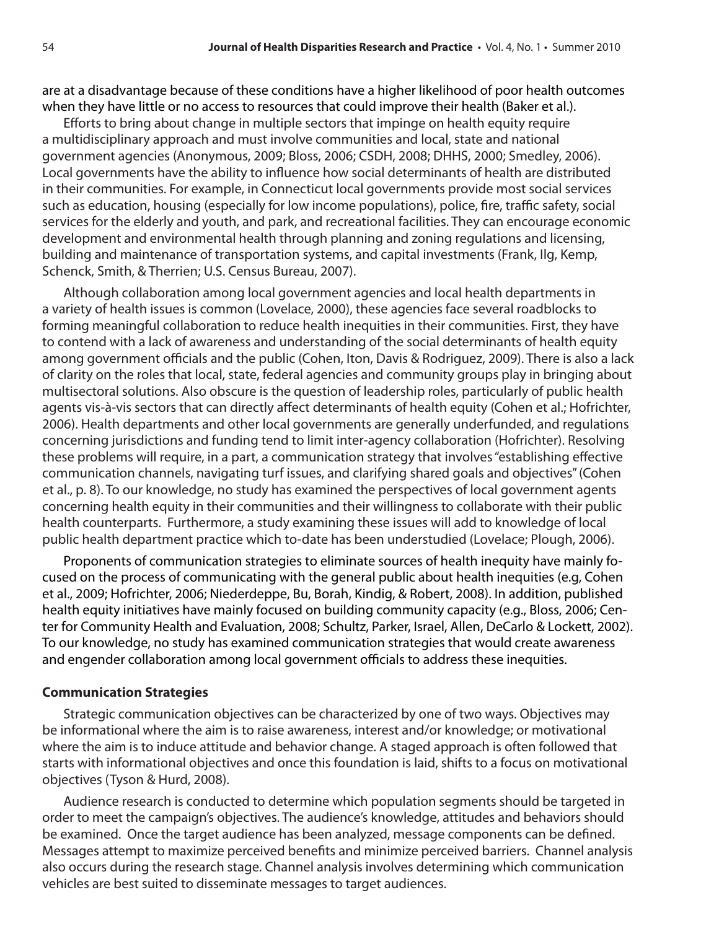are at a disadvantage because of these conditions have a higher likelihood of poor health outcomes when they have little or no access to resources that could improve their health (Baker et al.).

Efforts to bring about change in multiple sectors that impinge on health equity require a multidisciplinary approach and must involve communities and local, state and national government agencies (Anonymous, 2009; Bloss, 2006; CSDH, 2008; DHHS, 2000; Smedley, 2006). Local governments have the ability to influence how social determinants of health are distributed in their communities. For example, in Connecticut local governments provide most social services such as education, housing (especially for low income populations), police, fire, traffic safety, social services for the elderly and youth, and park, and recreational facilities. They can encourage economic development and environmental health through planning and zoning regulations and licensing, building and maintenance of transportation systems, and capital investments (Frank, Ilg, Kemp, Schenck, Smith, & Therrien; U.S. Census Bureau, 2007).

Although collaboration among local government agencies and local health departments in a variety of health issues is common (Lovelace, 2000), these agencies face several roadblocks to forming meaningful collaboration to reduce health inequities in their communities. First, they have to contend with a lack of awareness and understanding of the social determinants of health equity among government officials and the public (Cohen, Iton, Davis & Rodriguez, 2009). There is also a lack of clarity on the roles that local, state, federal agencies and community groups play in bringing about multisectoral solutions. Also obscure is the question of leadership roles, particularly of public health agents vis-à-vis sectors that can directly affect determinants of health equity (Cohen et al.; Hofrichter, 2006). Health departments and other local governments are generally underfunded, and regulations concerning jurisdictions and funding tend to limit inter-agency collaboration (Hofrichter). Resolving these problems will require, in a part, a communication strategy that involves "establishing effective communication channels, navigating turf issues, and clarifying shared goals and objectives" (Cohen et al., p. 8). To our knowledge, no study has examined the perspectives of local government agents concerning health equity in their communities and their willingness to collaborate with their public health counterparts. Furthermore, a study examining these issues will add to knowledge of local public health department practice which to-date has been understudied (Lovelace; Plough, 2006).

Proponents of communication strategies to eliminate sources of health inequity have mainly focused on the process of communicating with the general public about health inequities (e.g, Cohen et al., 2009; Hofrichter, 2006; Niederdeppe, Bu, Borah, Kindig, & Robert, 2008). In addition, published health equity initiatives have mainly focused on building community capacity (e.g., Bloss, 2006; Center for Community Health and Evaluation, 2008; Schultz, Parker, Israel, Allen, DeCarlo & Lockett, 2002). To our knowledge, no study has examined communication strategies that would create awareness and engender collaboration among local government officials to address these inequities.

#### **Communication Strategies**

Strategic communication objectives can be characterized by one of two ways. Objectives may be informational where the aim is to raise awareness, interest and/or knowledge; or motivational where the aim is to induce attitude and behavior change. A staged approach is often followed that starts with informational objectives and once this foundation is laid, shifts to a focus on motivational objectives (Tyson & Hurd, 2008).

Audience research is conducted to determine which population segments should be targeted in order to meet the campaign's objectives. The audience's knowledge, attitudes and behaviors should be examined. Once the target audience has been analyzed, message components can be defined. Messages attempt to maximize perceived benefits and minimize perceived barriers. Channel analysis also occurs during the research stage. Channel analysis involves determining which communication vehicles are best suited to disseminate messages to target audiences.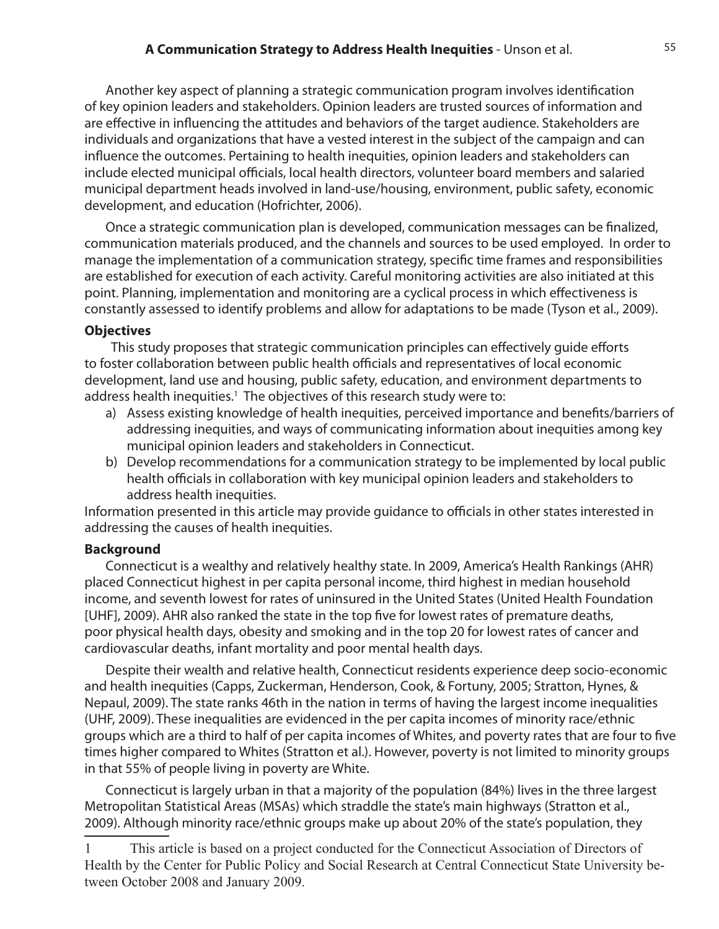Another key aspect of planning a strategic communication program involves identification of key opinion leaders and stakeholders. Opinion leaders are trusted sources of information and are effective in influencing the attitudes and behaviors of the target audience. Stakeholders are individuals and organizations that have a vested interest in the subject of the campaign and can influence the outcomes. Pertaining to health inequities, opinion leaders and stakeholders can include elected municipal officials, local health directors, volunteer board members and salaried municipal department heads involved in land-use/housing, environment, public safety, economic development, and education (Hofrichter, 2006).

Once a strategic communication plan is developed, communication messages can be finalized, communication materials produced, and the channels and sources to be used employed. In order to manage the implementation of a communication strategy, specific time frames and responsibilities are established for execution of each activity. Careful monitoring activities are also initiated at this point. Planning, implementation and monitoring are a cyclical process in which effectiveness is constantly assessed to identify problems and allow for adaptations to be made (Tyson et al., 2009).

#### **Objectives**

 This study proposes that strategic communication principles can effectively guide efforts to foster collaboration between public health officials and representatives of local economic development, land use and housing, public safety, education, and environment departments to address health inequities.<sup>1</sup> The objectives of this research study were to:

- a) Assess existing knowledge of health inequities, perceived importance and benefits/barriers of addressing inequities, and ways of communicating information about inequities among key municipal opinion leaders and stakeholders in Connecticut.
- b) Develop recommendations for a communication strategy to be implemented by local public health officials in collaboration with key municipal opinion leaders and stakeholders to address health inequities.

Information presented in this article may provide guidance to officials in other states interested in addressing the causes of health inequities.

#### **Background**

Connecticut is a wealthy and relatively healthy state. In 2009, America's Health Rankings (AHR) placed Connecticut highest in per capita personal income, third highest in median household income, and seventh lowest for rates of uninsured in the United States (United Health Foundation [UHF], 2009). AHR also ranked the state in the top five for lowest rates of premature deaths, poor physical health days, obesity and smoking and in the top 20 for lowest rates of cancer and cardiovascular deaths, infant mortality and poor mental health days.

Despite their wealth and relative health, Connecticut residents experience deep socio-economic and health inequities (Capps, Zuckerman, Henderson, Cook, & Fortuny, 2005; Stratton, Hynes, & Nepaul, 2009). The state ranks 46th in the nation in terms of having the largest income inequalities (UHF, 2009). These inequalities are evidenced in the per capita incomes of minority race/ethnic groups which are a third to half of per capita incomes of Whites, and poverty rates that are four to five times higher compared to Whites (Stratton et al.). However, poverty is not limited to minority groups in that 55% of people living in poverty are White.

Connecticut is largely urban in that a majority of the population (84%) lives in the three largest Metropolitan Statistical Areas (MSAs) which straddle the state's main highways (Stratton et al., 2009). Although minority race/ethnic groups make up about 20% of the state's population, they

<sup>1</sup>  This article is based on a project conducted for the Connecticut Association of Directors of Health by the Center for Public Policy and Social Research at Central Connecticut State University between October 2008 and January 2009.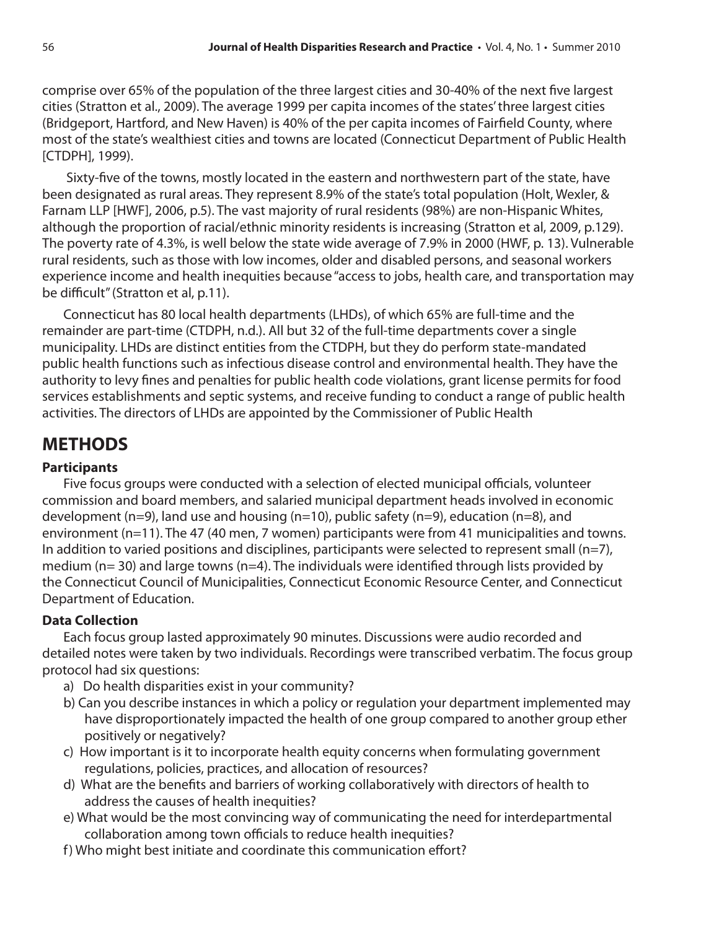comprise over 65% of the population of the three largest cities and 30-40% of the next five largest cities (Stratton et al., 2009). The average 1999 per capita incomes of the states' three largest cities (Bridgeport, Hartford, and New Haven) is 40% of the per capita incomes of Fairfield County, where most of the state's wealthiest cities and towns are located (Connecticut Department of Public Health [CTDPH], 1999).

 Sixty-five of the towns, mostly located in the eastern and northwestern part of the state, have been designated as rural areas. They represent 8.9% of the state's total population (Holt, Wexler, & Farnam LLP [HWF], 2006, p.5). The vast majority of rural residents (98%) are non-Hispanic Whites, although the proportion of racial/ethnic minority residents is increasing (Stratton et al, 2009, p.129). The poverty rate of 4.3%, is well below the state wide average of 7.9% in 2000 (HWF, p. 13). Vulnerable rural residents, such as those with low incomes, older and disabled persons, and seasonal workers experience income and health inequities because "access to jobs, health care, and transportation may be difficult" (Stratton et al, p.11).

Connecticut has 80 local health departments (LHDs), of which 65% are full-time and the remainder are part-time (CTDPH, n.d.). All but 32 of the full-time departments cover a single municipality. LHDs are distinct entities from the CTDPH, but they do perform state-mandated public health functions such as infectious disease control and environmental health. They have the authority to levy fines and penalties for public health code violations, grant license permits for food services establishments and septic systems, and receive funding to conduct a range of public health activities. The directors of LHDs are appointed by the Commissioner of Public Health

## **METHODS**

#### **Participants**

Five focus groups were conducted with a selection of elected municipal officials, volunteer commission and board members, and salaried municipal department heads involved in economic development (n=9), land use and housing (n=10), public safety (n=9), education (n=8), and environment (n=11). The 47 (40 men, 7 women) participants were from 41 municipalities and towns. In addition to varied positions and disciplines, participants were selected to represent small (n=7), medium ( $n=$  30) and large towns ( $n=4$ ). The individuals were identified through lists provided by the Connecticut Council of Municipalities, Connecticut Economic Resource Center, and Connecticut Department of Education.

#### **Data Collection**

Each focus group lasted approximately 90 minutes. Discussions were audio recorded and detailed notes were taken by two individuals. Recordings were transcribed verbatim. The focus group protocol had six questions:

- a) Do health disparities exist in your community?
- b) Can you describe instances in which a policy or regulation your department implemented may have disproportionately impacted the health of one group compared to another group ether positively or negatively?
- c) How important is it to incorporate health equity concerns when formulating government regulations, policies, practices, and allocation of resources?
- d) What are the benefits and barriers of working collaboratively with directors of health to address the causes of health inequities?
- e) What would be the most convincing way of communicating the need for interdepartmental collaboration among town officials to reduce health inequities?
- f) Who might best initiate and coordinate this communication effort?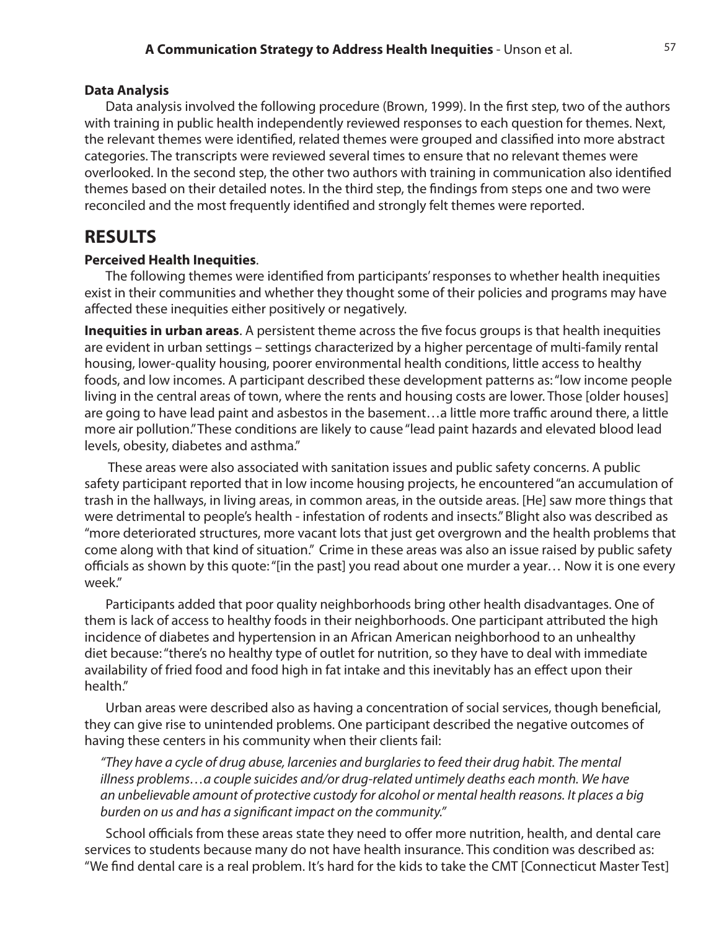#### **Data Analysis**

Data analysis involved the following procedure (Brown, 1999). In the first step, two of the authors with training in public health independently reviewed responses to each question for themes. Next, the relevant themes were identified, related themes were grouped and classified into more abstract categories. The transcripts were reviewed several times to ensure that no relevant themes were overlooked. In the second step, the other two authors with training in communication also identified themes based on their detailed notes. In the third step, the findings from steps one and two were reconciled and the most frequently identified and strongly felt themes were reported.

### **RESULTS**

#### **Perceived Health Inequities**.

The following themes were identified from participants' responses to whether health inequities exist in their communities and whether they thought some of their policies and programs may have affected these inequities either positively or negatively.

**Inequities in urban areas**. A persistent theme across the five focus groups is that health inequities are evident in urban settings – settings characterized by a higher percentage of multi-family rental housing, lower-quality housing, poorer environmental health conditions, little access to healthy foods, and low incomes. A participant described these development patterns as: "low income people living in the central areas of town, where the rents and housing costs are lower. Those [older houses] are going to have lead paint and asbestos in the basement…a little more traffic around there, a little more air pollution." These conditions are likely to cause "lead paint hazards and elevated blood lead levels, obesity, diabetes and asthma."

 These areas were also associated with sanitation issues and public safety concerns. A public safety participant reported that in low income housing projects, he encountered "an accumulation of trash in the hallways, in living areas, in common areas, in the outside areas. [He] saw more things that were detrimental to people's health - infestation of rodents and insects." Blight also was described as "more deteriorated structures, more vacant lots that just get overgrown and the health problems that come along with that kind of situation." Crime in these areas was also an issue raised by public safety officials as shown by this quote: "[in the past] you read about one murder a year… Now it is one every week."

Participants added that poor quality neighborhoods bring other health disadvantages. One of them is lack of access to healthy foods in their neighborhoods. One participant attributed the high incidence of diabetes and hypertension in an African American neighborhood to an unhealthy diet because: "there's no healthy type of outlet for nutrition, so they have to deal with immediate availability of fried food and food high in fat intake and this inevitably has an effect upon their health."

Urban areas were described also as having a concentration of social services, though beneficial, they can give rise to unintended problems. One participant described the negative outcomes of having these centers in his community when their clients fail:

*"They have a cycle of drug abuse, larcenies and burglaries to feed their drug habit. The mental illness problems…a couple suicides and/or drug-related untimely deaths each month. We have an unbelievable amount of protective custody for alcohol or mental health reasons. It places a big burden on us and has a significant impact on the community."*

School officials from these areas state they need to offer more nutrition, health, and dental care services to students because many do not have health insurance. This condition was described as: "We find dental care is a real problem. It's hard for the kids to take the CMT [Connecticut Master Test]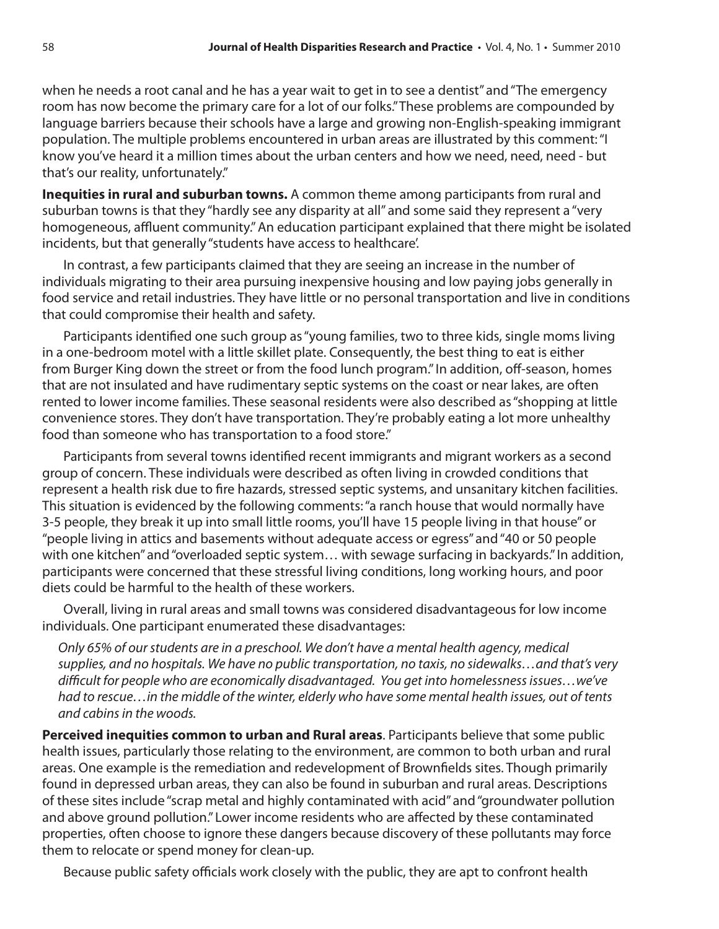when he needs a root canal and he has a year wait to get in to see a dentist" and "The emergency room has now become the primary care for a lot of our folks." These problems are compounded by language barriers because their schools have a large and growing non-English-speaking immigrant population. The multiple problems encountered in urban areas are illustrated by this comment: "I know you've heard it a million times about the urban centers and how we need, need, need - but that's our reality, unfortunately."

**Inequities in rural and suburban towns.** A common theme among participants from rural and suburban towns is that they "hardly see any disparity at all" and some said they represent a "very homogeneous, affluent community." An education participant explained that there might be isolated incidents, but that generally "students have access to healthcare'.

In contrast, a few participants claimed that they are seeing an increase in the number of individuals migrating to their area pursuing inexpensive housing and low paying jobs generally in food service and retail industries. They have little or no personal transportation and live in conditions that could compromise their health and safety.

Participants identified one such group as "young families, two to three kids, single moms living in a one-bedroom motel with a little skillet plate. Consequently, the best thing to eat is either from Burger King down the street or from the food lunch program." In addition, off-season, homes that are not insulated and have rudimentary septic systems on the coast or near lakes, are often rented to lower income families. These seasonal residents were also described as "shopping at little convenience stores. They don't have transportation. They're probably eating a lot more unhealthy food than someone who has transportation to a food store."

Participants from several towns identified recent immigrants and migrant workers as a second group of concern. These individuals were described as often living in crowded conditions that represent a health risk due to fire hazards, stressed septic systems, and unsanitary kitchen facilities. This situation is evidenced by the following comments: "a ranch house that would normally have 3-5 people, they break it up into small little rooms, you'll have 15 people living in that house" or "people living in attics and basements without adequate access or egress" and "40 or 50 people with one kitchen" and "overloaded septic system… with sewage surfacing in backyards." In addition, participants were concerned that these stressful living conditions, long working hours, and poor diets could be harmful to the health of these workers.

Overall, living in rural areas and small towns was considered disadvantageous for low income individuals. One participant enumerated these disadvantages:

*Only 65% of our students are in a preschool. We don't have a mental health agency, medical supplies, and no hospitals. We have no public transportation, no taxis, no sidewalks…and that's very difficult for people who are economically disadvantaged. You get into homelessness issues…we've had to rescue…in the middle of the winter, elderly who have some mental health issues, out of tents and cabins in the woods.*

**Perceived inequities common to urban and Rural areas**. Participants believe that some public health issues, particularly those relating to the environment, are common to both urban and rural areas. One example is the remediation and redevelopment of Brownfields sites. Though primarily found in depressed urban areas, they can also be found in suburban and rural areas. Descriptions of these sites include "scrap metal and highly contaminated with acid" and "groundwater pollution and above ground pollution." Lower income residents who are affected by these contaminated properties, often choose to ignore these dangers because discovery of these pollutants may force them to relocate or spend money for clean-up.

Because public safety officials work closely with the public, they are apt to confront health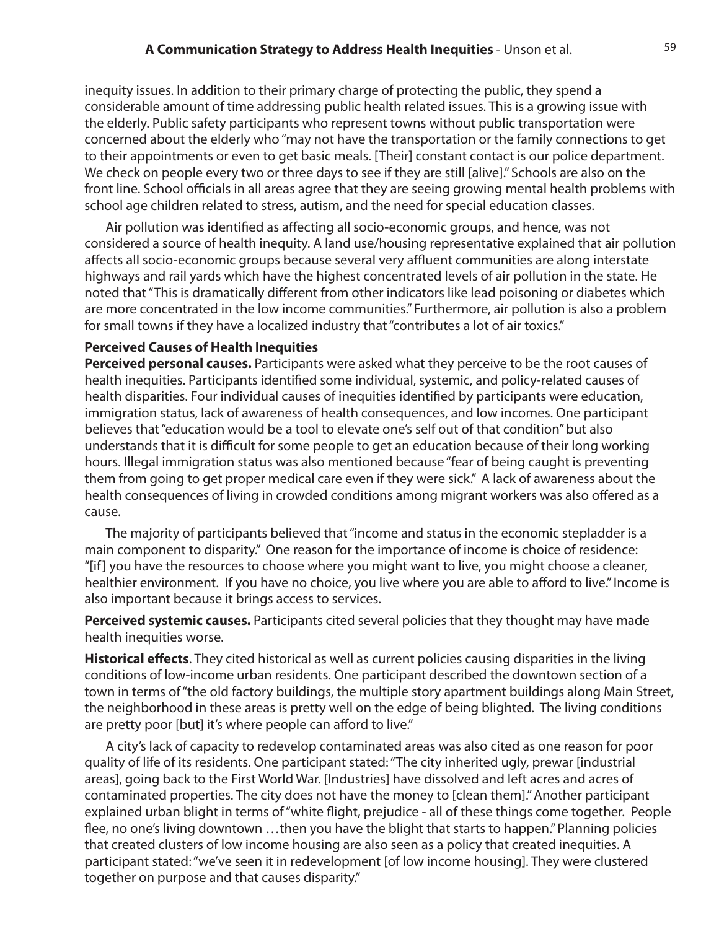inequity issues. In addition to their primary charge of protecting the public, they spend a considerable amount of time addressing public health related issues. This is a growing issue with the elderly. Public safety participants who represent towns without public transportation were concerned about the elderly who "may not have the transportation or the family connections to get to their appointments or even to get basic meals. [Their] constant contact is our police department. We check on people every two or three days to see if they are still [alive]." Schools are also on the front line. School officials in all areas agree that they are seeing growing mental health problems with school age children related to stress, autism, and the need for special education classes.

Air pollution was identified as affecting all socio-economic groups, and hence, was not considered a source of health inequity. A land use/housing representative explained that air pollution affects all socio-economic groups because several very affluent communities are along interstate highways and rail yards which have the highest concentrated levels of air pollution in the state. He noted that "This is dramatically different from other indicators like lead poisoning or diabetes which are more concentrated in the low income communities." Furthermore, air pollution is also a problem for small towns if they have a localized industry that "contributes a lot of air toxics."

#### **Perceived Causes of Health Inequities**

**Perceived personal causes.** Participants were asked what they perceive to be the root causes of health inequities. Participants identified some individual, systemic, and policy-related causes of health disparities. Four individual causes of inequities identified by participants were education, immigration status, lack of awareness of health consequences, and low incomes. One participant believes that "education would be a tool to elevate one's self out of that condition" but also understands that it is difficult for some people to get an education because of their long working hours. Illegal immigration status was also mentioned because "fear of being caught is preventing them from going to get proper medical care even if they were sick." A lack of awareness about the health consequences of living in crowded conditions among migrant workers was also offered as a cause.

The majority of participants believed that "income and status in the economic stepladder is a main component to disparity." One reason for the importance of income is choice of residence: "[if] you have the resources to choose where you might want to live, you might choose a cleaner, healthier environment. If you have no choice, you live where you are able to afford to live." Income is also important because it brings access to services.

**Perceived systemic causes.** Participants cited several policies that they thought may have made health inequities worse.

**Historical effects**. They cited historical as well as current policies causing disparities in the living conditions of low-income urban residents. One participant described the downtown section of a town in terms of "the old factory buildings, the multiple story apartment buildings along Main Street, the neighborhood in these areas is pretty well on the edge of being blighted. The living conditions are pretty poor [but] it's where people can afford to live."

A city's lack of capacity to redevelop contaminated areas was also cited as one reason for poor quality of life of its residents. One participant stated: "The city inherited ugly, prewar [industrial areas], going back to the First World War. [Industries] have dissolved and left acres and acres of contaminated properties. The city does not have the money to [clean them]." Another participant explained urban blight in terms of "white flight, prejudice - all of these things come together. People flee, no one's living downtown …then you have the blight that starts to happen." Planning policies that created clusters of low income housing are also seen as a policy that created inequities. A participant stated: "we've seen it in redevelopment [of low income housing]. They were clustered together on purpose and that causes disparity."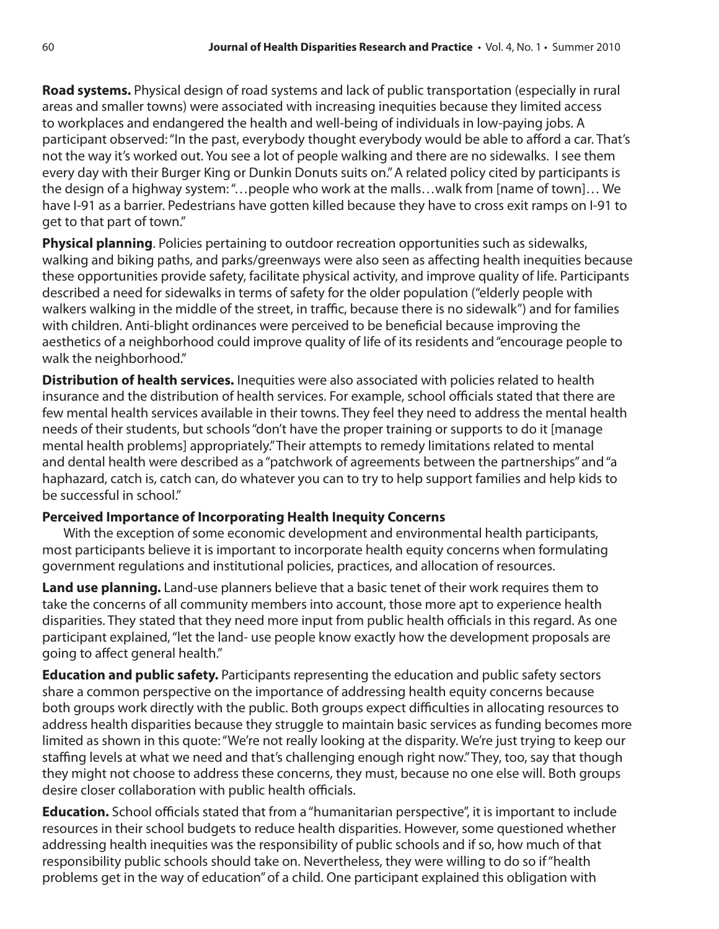**Road systems.** Physical design of road systems and lack of public transportation (especially in rural areas and smaller towns) were associated with increasing inequities because they limited access to workplaces and endangered the health and well-being of individuals in low-paying jobs. A participant observed: "In the past, everybody thought everybody would be able to afford a car. That's not the way it's worked out. You see a lot of people walking and there are no sidewalks. I see them every day with their Burger King or Dunkin Donuts suits on." A related policy cited by participants is the design of a highway system: "…people who work at the malls…walk from [name of town]… We have I-91 as a barrier. Pedestrians have gotten killed because they have to cross exit ramps on I-91 to get to that part of town."

**Physical planning**. Policies pertaining to outdoor recreation opportunities such as sidewalks, walking and biking paths, and parks/greenways were also seen as affecting health inequities because these opportunities provide safety, facilitate physical activity, and improve quality of life. Participants described a need for sidewalks in terms of safety for the older population ("elderly people with walkers walking in the middle of the street, in traffic, because there is no sidewalk") and for families with children. Anti-blight ordinances were perceived to be beneficial because improving the aesthetics of a neighborhood could improve quality of life of its residents and "encourage people to walk the neighborhood."

**Distribution of health services.** Inequities were also associated with policies related to health insurance and the distribution of health services. For example, school officials stated that there are few mental health services available in their towns. They feel they need to address the mental health needs of their students, but schools "don't have the proper training or supports to do it [manage mental health problems] appropriately." Their attempts to remedy limitations related to mental and dental health were described as a "patchwork of agreements between the partnerships" and "a haphazard, catch is, catch can, do whatever you can to try to help support families and help kids to be successful in school."

#### **Perceived Importance of Incorporating Health Inequity Concerns**

With the exception of some economic development and environmental health participants, most participants believe it is important to incorporate health equity concerns when formulating government regulations and institutional policies, practices, and allocation of resources.

**Land use planning.** Land-use planners believe that a basic tenet of their work requires them to take the concerns of all community members into account, those more apt to experience health disparities. They stated that they need more input from public health officials in this regard. As one participant explained, "let the land- use people know exactly how the development proposals are going to affect general health."

**Education and public safety.** Participants representing the education and public safety sectors share a common perspective on the importance of addressing health equity concerns because both groups work directly with the public. Both groups expect difficulties in allocating resources to address health disparities because they struggle to maintain basic services as funding becomes more limited as shown in this quote: "We're not really looking at the disparity. We're just trying to keep our staffing levels at what we need and that's challenging enough right now." They, too, say that though they might not choose to address these concerns, they must, because no one else will. Both groups desire closer collaboration with public health officials.

**Education.** School officials stated that from a "humanitarian perspective", it is important to include resources in their school budgets to reduce health disparities. However, some questioned whether addressing health inequities was the responsibility of public schools and if so, how much of that responsibility public schools should take on. Nevertheless, they were willing to do so if "health problems get in the way of education" of a child. One participant explained this obligation with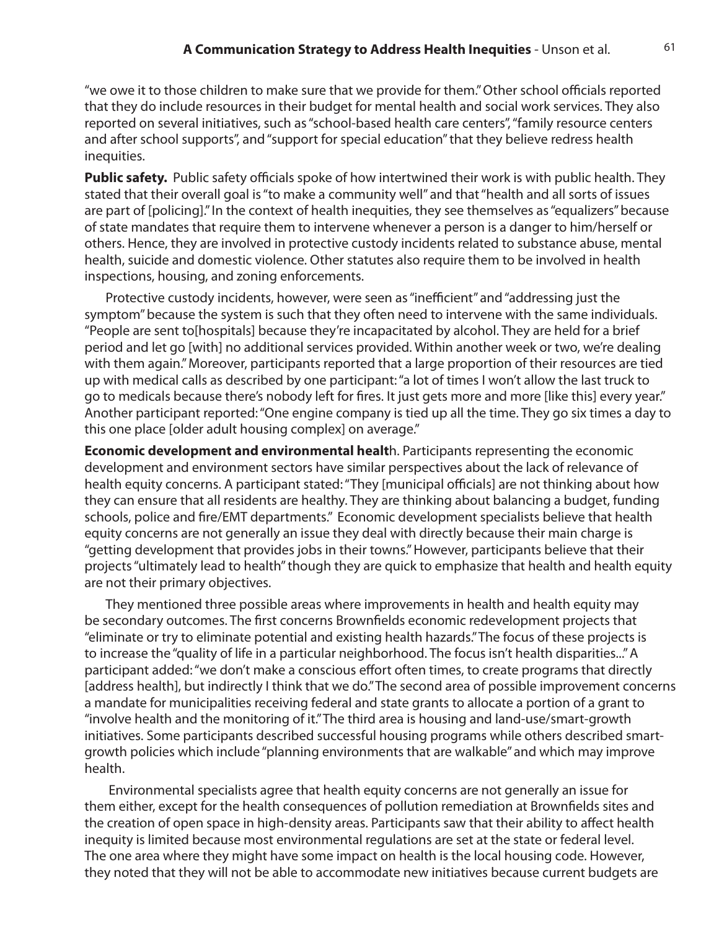"we owe it to those children to make sure that we provide for them." Other school officials reported that they do include resources in their budget for mental health and social work services. They also reported on several initiatives, such as "school-based health care centers", "family resource centers and after school supports", and "support for special education" that they believe redress health inequities.

**Public safety.** Public safety officials spoke of how intertwined their work is with public health. They stated that their overall goal is "to make a community well" and that "health and all sorts of issues are part of [policing]." In the context of health inequities, they see themselves as "equalizers" because of state mandates that require them to intervene whenever a person is a danger to him/herself or others. Hence, they are involved in protective custody incidents related to substance abuse, mental health, suicide and domestic violence. Other statutes also require them to be involved in health inspections, housing, and zoning enforcements.

Protective custody incidents, however, were seen as "inefficient" and "addressing just the symptom" because the system is such that they often need to intervene with the same individuals. "People are sent to[hospitals] because they're incapacitated by alcohol. They are held for a brief period and let go [with] no additional services provided. Within another week or two, we're dealing with them again." Moreover, participants reported that a large proportion of their resources are tied up with medical calls as described by one participant: "a lot of times I won't allow the last truck to go to medicals because there's nobody left for fires. It just gets more and more [like this] every year." Another participant reported: "One engine company is tied up all the time. They go six times a day to this one place [older adult housing complex] on average."

**Economic development and environmental healt**h. Participants representing the economic development and environment sectors have similar perspectives about the lack of relevance of health equity concerns. A participant stated: "They [municipal officials] are not thinking about how they can ensure that all residents are healthy. They are thinking about balancing a budget, funding schools, police and fire/EMT departments." Economic development specialists believe that health equity concerns are not generally an issue they deal with directly because their main charge is "getting development that provides jobs in their towns." However, participants believe that their projects "ultimately lead to health" though they are quick to emphasize that health and health equity are not their primary objectives.

They mentioned three possible areas where improvements in health and health equity may be secondary outcomes. The first concerns Brownfields economic redevelopment projects that "eliminate or try to eliminate potential and existing health hazards." The focus of these projects is to increase the "quality of life in a particular neighborhood. The focus isn't health disparities..." A participant added: "we don't make a conscious effort often times, to create programs that directly [address health], but indirectly I think that we do." The second area of possible improvement concerns a mandate for municipalities receiving federal and state grants to allocate a portion of a grant to "involve health and the monitoring of it." The third area is housing and land-use/smart-growth initiatives. Some participants described successful housing programs while others described smartgrowth policies which include "planning environments that are walkable" and which may improve health.

 Environmental specialists agree that health equity concerns are not generally an issue for them either, except for the health consequences of pollution remediation at Brownfields sites and the creation of open space in high-density areas. Participants saw that their ability to affect health inequity is limited because most environmental regulations are set at the state or federal level. The one area where they might have some impact on health is the local housing code. However, they noted that they will not be able to accommodate new initiatives because current budgets are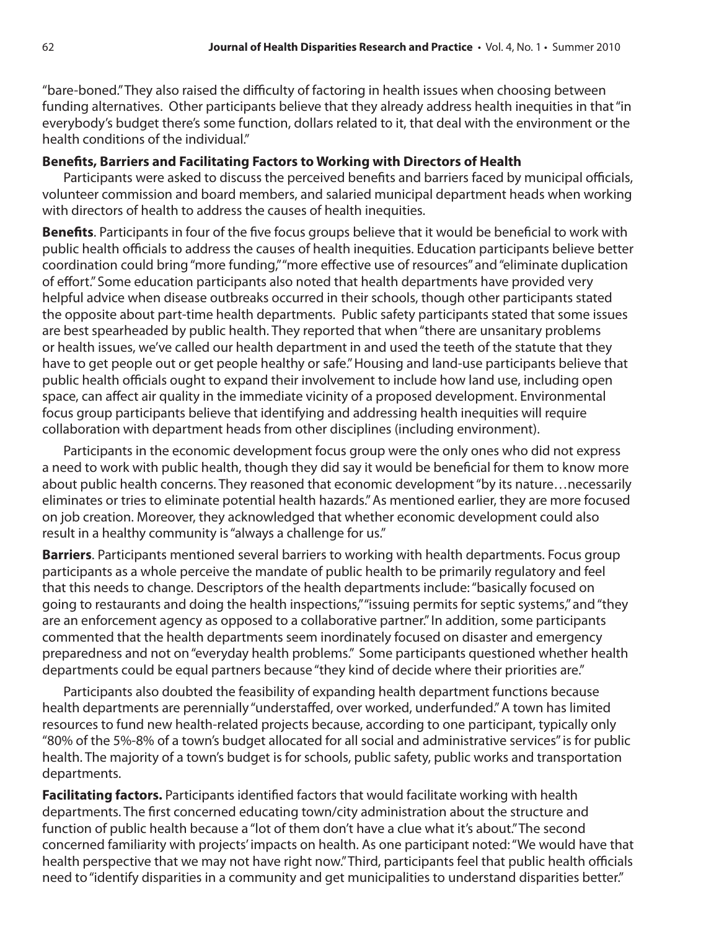"bare-boned." They also raised the difficulty of factoring in health issues when choosing between funding alternatives. Other participants believe that they already address health inequities in that "in everybody's budget there's some function, dollars related to it, that deal with the environment or the health conditions of the individual."

#### **Benefits, Barriers and Facilitating Factors to Working with Directors of Health**

Participants were asked to discuss the perceived benefits and barriers faced by municipal officials, volunteer commission and board members, and salaried municipal department heads when working with directors of health to address the causes of health inequities.

**Benefits**. Participants in four of the five focus groups believe that it would be beneficial to work with public health officials to address the causes of health inequities. Education participants believe better coordination could bring "more funding," "more effective use of resources" and "eliminate duplication of effort." Some education participants also noted that health departments have provided very helpful advice when disease outbreaks occurred in their schools, though other participants stated the opposite about part-time health departments. Public safety participants stated that some issues are best spearheaded by public health. They reported that when "there are unsanitary problems or health issues, we've called our health department in and used the teeth of the statute that they have to get people out or get people healthy or safe." Housing and land-use participants believe that public health officials ought to expand their involvement to include how land use, including open space, can affect air quality in the immediate vicinity of a proposed development. Environmental focus group participants believe that identifying and addressing health inequities will require collaboration with department heads from other disciplines (including environment).

Participants in the economic development focus group were the only ones who did not express a need to work with public health, though they did say it would be beneficial for them to know more about public health concerns. They reasoned that economic development "by its nature…necessarily eliminates or tries to eliminate potential health hazards." As mentioned earlier, they are more focused on job creation. Moreover, they acknowledged that whether economic development could also result in a healthy community is "always a challenge for us."

**Barriers**. Participants mentioned several barriers to working with health departments. Focus group participants as a whole perceive the mandate of public health to be primarily regulatory and feel that this needs to change. Descriptors of the health departments include: "basically focused on going to restaurants and doing the health inspections," "issuing permits for septic systems," and "they are an enforcement agency as opposed to a collaborative partner." In addition, some participants commented that the health departments seem inordinately focused on disaster and emergency preparedness and not on "everyday health problems." Some participants questioned whether health departments could be equal partners because "they kind of decide where their priorities are."

Participants also doubted the feasibility of expanding health department functions because health departments are perennially "understaffed, over worked, underfunded." A town has limited resources to fund new health-related projects because, according to one participant, typically only "80% of the 5%-8% of a town's budget allocated for all social and administrative services" is for public health. The majority of a town's budget is for schools, public safety, public works and transportation departments.

**Facilitating factors.** Participants identified factors that would facilitate working with health departments. The first concerned educating town/city administration about the structure and function of public health because a "lot of them don't have a clue what it's about." The second concerned familiarity with projects' impacts on health. As one participant noted: "We would have that health perspective that we may not have right now." Third, participants feel that public health officials need to "identify disparities in a community and get municipalities to understand disparities better."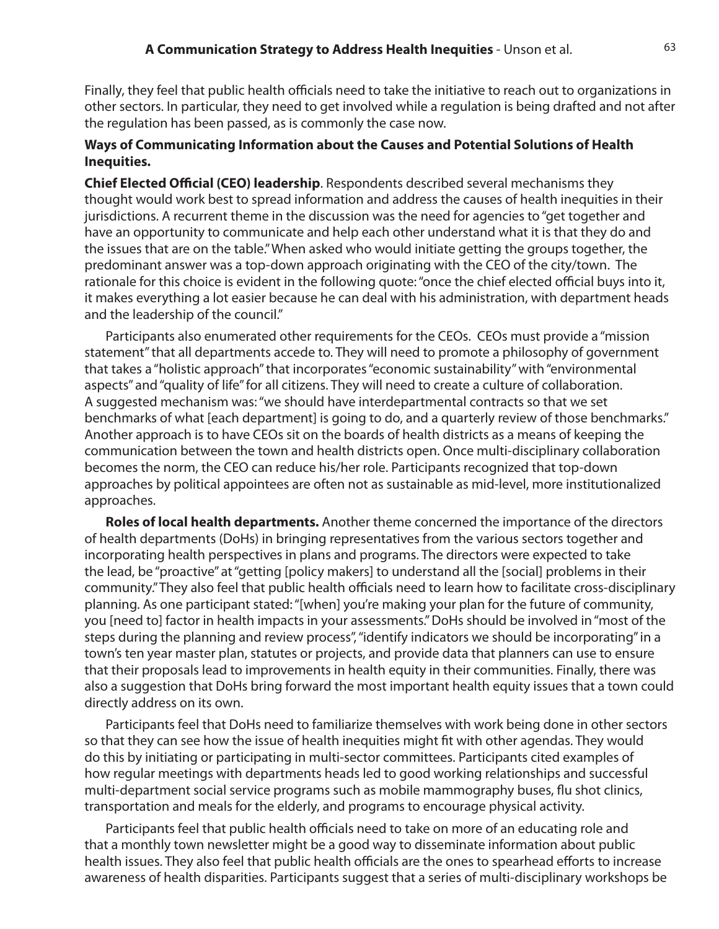Finally, they feel that public health officials need to take the initiative to reach out to organizations in other sectors. In particular, they need to get involved while a regulation is being drafted and not after the regulation has been passed, as is commonly the case now.

#### **Ways of Communicating Information about the Causes and Potential Solutions of Health Inequities.**

**Chief Elected Official (CEO) leadership**. Respondents described several mechanisms they thought would work best to spread information and address the causes of health inequities in their jurisdictions. A recurrent theme in the discussion was the need for agencies to "get together and have an opportunity to communicate and help each other understand what it is that they do and the issues that are on the table." When asked who would initiate getting the groups together, the predominant answer was a top-down approach originating with the CEO of the city/town. The rationale for this choice is evident in the following quote: "once the chief elected official buys into it, it makes everything a lot easier because he can deal with his administration, with department heads and the leadership of the council."

Participants also enumerated other requirements for the CEOs. CEOs must provide a "mission statement" that all departments accede to. They will need to promote a philosophy of government that takes a "holistic approach" that incorporates "economic sustainability" with "environmental aspects" and "quality of life" for all citizens. They will need to create a culture of collaboration. A suggested mechanism was: "we should have interdepartmental contracts so that we set benchmarks of what [each department] is going to do, and a quarterly review of those benchmarks." Another approach is to have CEOs sit on the boards of health districts as a means of keeping the communication between the town and health districts open. Once multi-disciplinary collaboration becomes the norm, the CEO can reduce his/her role. Participants recognized that top-down approaches by political appointees are often not as sustainable as mid-level, more institutionalized approaches.

**Roles of local health departments.** Another theme concerned the importance of the directors of health departments (DoHs) in bringing representatives from the various sectors together and incorporating health perspectives in plans and programs. The directors were expected to take the lead, be "proactive" at "getting [policy makers] to understand all the [social] problems in their community." They also feel that public health officials need to learn how to facilitate cross-disciplinary planning. As one participant stated: "[when] you're making your plan for the future of community, you [need to] factor in health impacts in your assessments." DoHs should be involved in "most of the steps during the planning and review process", "identify indicators we should be incorporating" in a town's ten year master plan, statutes or projects, and provide data that planners can use to ensure that their proposals lead to improvements in health equity in their communities. Finally, there was also a suggestion that DoHs bring forward the most important health equity issues that a town could directly address on its own.

Participants feel that DoHs need to familiarize themselves with work being done in other sectors so that they can see how the issue of health inequities might fit with other agendas. They would do this by initiating or participating in multi-sector committees. Participants cited examples of how regular meetings with departments heads led to good working relationships and successful multi-department social service programs such as mobile mammography buses, flu shot clinics, transportation and meals for the elderly, and programs to encourage physical activity.

Participants feel that public health officials need to take on more of an educating role and that a monthly town newsletter might be a good way to disseminate information about public health issues. They also feel that public health officials are the ones to spearhead efforts to increase awareness of health disparities. Participants suggest that a series of multi-disciplinary workshops be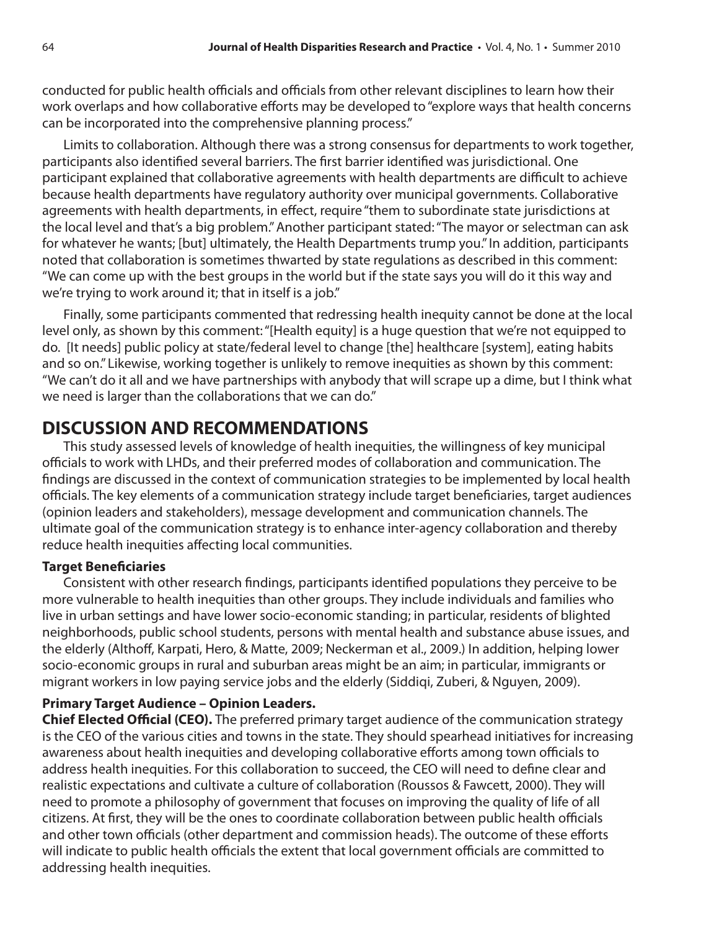conducted for public health officials and officials from other relevant disciplines to learn how their work overlaps and how collaborative efforts may be developed to "explore ways that health concerns can be incorporated into the comprehensive planning process."

Limits to collaboration. Although there was a strong consensus for departments to work together, participants also identified several barriers. The first barrier identified was jurisdictional. One participant explained that collaborative agreements with health departments are difficult to achieve because health departments have regulatory authority over municipal governments. Collaborative agreements with health departments, in effect, require "them to subordinate state jurisdictions at the local level and that's a big problem." Another participant stated: "The mayor or selectman can ask for whatever he wants; [but] ultimately, the Health Departments trump you." In addition, participants noted that collaboration is sometimes thwarted by state regulations as described in this comment: "We can come up with the best groups in the world but if the state says you will do it this way and we're trying to work around it; that in itself is a job."

Finally, some participants commented that redressing health inequity cannot be done at the local level only, as shown by this comment: "[Health equity] is a huge question that we're not equipped to do. [It needs] public policy at state/federal level to change [the] healthcare [system], eating habits and so on." Likewise, working together is unlikely to remove inequities as shown by this comment: "We can't do it all and we have partnerships with anybody that will scrape up a dime, but I think what we need is larger than the collaborations that we can do."

### **DISCUSSION AND RECOMMENDATIONS**

This study assessed levels of knowledge of health inequities, the willingness of key municipal officials to work with LHDs, and their preferred modes of collaboration and communication. The findings are discussed in the context of communication strategies to be implemented by local health officials. The key elements of a communication strategy include target beneficiaries, target audiences (opinion leaders and stakeholders), message development and communication channels. The ultimate goal of the communication strategy is to enhance inter-agency collaboration and thereby reduce health inequities affecting local communities.

#### **Target Beneficiaries**

Consistent with other research findings, participants identified populations they perceive to be more vulnerable to health inequities than other groups. They include individuals and families who live in urban settings and have lower socio-economic standing; in particular, residents of blighted neighborhoods, public school students, persons with mental health and substance abuse issues, and the elderly (Althoff, Karpati, Hero, & Matte, 2009; Neckerman et al., 2009.) In addition, helping lower socio-economic groups in rural and suburban areas might be an aim; in particular, immigrants or migrant workers in low paying service jobs and the elderly (Siddiqi, Zuberi, & Nguyen, 2009).

#### **Primary Target Audience – Opinion Leaders.**

**Chief Elected Official (CEO).** The preferred primary target audience of the communication strategy is the CEO of the various cities and towns in the state. They should spearhead initiatives for increasing awareness about health inequities and developing collaborative efforts among town officials to address health inequities. For this collaboration to succeed, the CEO will need to define clear and realistic expectations and cultivate a culture of collaboration (Roussos & Fawcett, 2000). They will need to promote a philosophy of government that focuses on improving the quality of life of all citizens. At first, they will be the ones to coordinate collaboration between public health officials and other town officials (other department and commission heads). The outcome of these efforts will indicate to public health officials the extent that local government officials are committed to addressing health inequities.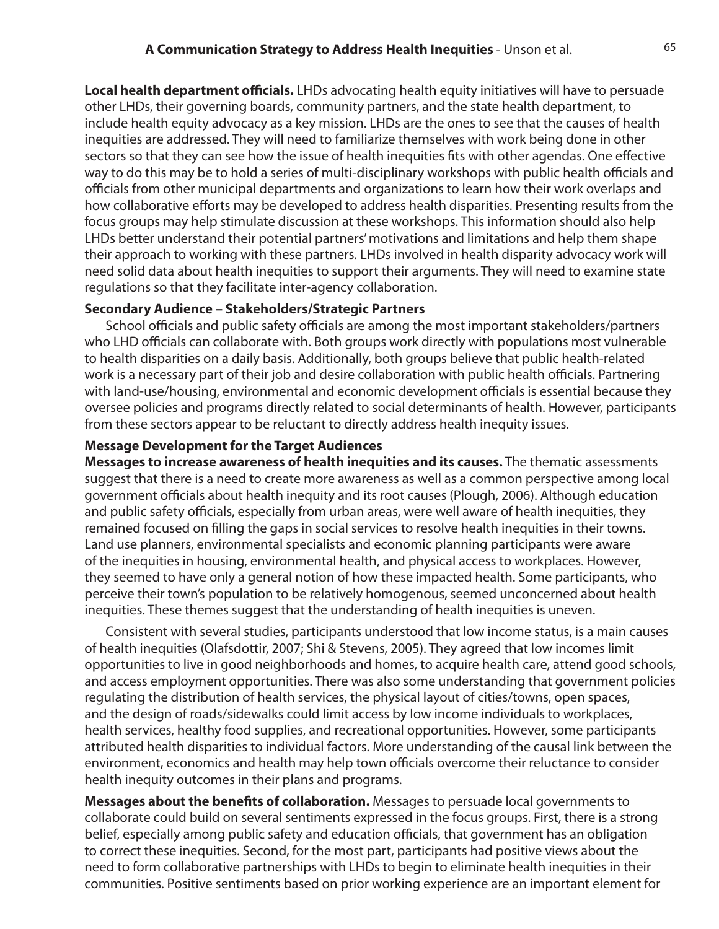**Local health department officials.** LHDs advocating health equity initiatives will have to persuade other LHDs, their governing boards, community partners, and the state health department, to include health equity advocacy as a key mission. LHDs are the ones to see that the causes of health inequities are addressed. They will need to familiarize themselves with work being done in other sectors so that they can see how the issue of health inequities fits with other agendas. One effective way to do this may be to hold a series of multi-disciplinary workshops with public health officials and officials from other municipal departments and organizations to learn how their work overlaps and how collaborative efforts may be developed to address health disparities. Presenting results from the focus groups may help stimulate discussion at these workshops. This information should also help LHDs better understand their potential partners' motivations and limitations and help them shape their approach to working with these partners. LHDs involved in health disparity advocacy work will need solid data about health inequities to support their arguments. They will need to examine state regulations so that they facilitate inter-agency collaboration.

#### **Secondary Audience – Stakeholders/Strategic Partners**

School officials and public safety officials are among the most important stakeholders/partners who LHD officials can collaborate with. Both groups work directly with populations most vulnerable to health disparities on a daily basis. Additionally, both groups believe that public health-related work is a necessary part of their job and desire collaboration with public health officials. Partnering with land-use/housing, environmental and economic development officials is essential because they oversee policies and programs directly related to social determinants of health. However, participants from these sectors appear to be reluctant to directly address health inequity issues.

#### **Message Development for the Target Audiences**

**Messages to increase awareness of health inequities and its causes.** The thematic assessments suggest that there is a need to create more awareness as well as a common perspective among local government officials about health inequity and its root causes (Plough, 2006). Although education and public safety officials, especially from urban areas, were well aware of health inequities, they remained focused on filling the gaps in social services to resolve health inequities in their towns. Land use planners, environmental specialists and economic planning participants were aware of the inequities in housing, environmental health, and physical access to workplaces. However, they seemed to have only a general notion of how these impacted health. Some participants, who perceive their town's population to be relatively homogenous, seemed unconcerned about health inequities. These themes suggest that the understanding of health inequities is uneven.

Consistent with several studies, participants understood that low income status, is a main causes of health inequities (Olafsdottir, 2007; Shi & Stevens, 2005). They agreed that low incomes limit opportunities to live in good neighborhoods and homes, to acquire health care, attend good schools, and access employment opportunities. There was also some understanding that government policies regulating the distribution of health services, the physical layout of cities/towns, open spaces, and the design of roads/sidewalks could limit access by low income individuals to workplaces, health services, healthy food supplies, and recreational opportunities. However, some participants attributed health disparities to individual factors. More understanding of the causal link between the environment, economics and health may help town officials overcome their reluctance to consider health inequity outcomes in their plans and programs.

**Messages about the benefits of collaboration.** Messages to persuade local governments to collaborate could build on several sentiments expressed in the focus groups. First, there is a strong belief, especially among public safety and education officials, that government has an obligation to correct these inequities. Second, for the most part, participants had positive views about the need to form collaborative partnerships with LHDs to begin to eliminate health inequities in their communities. Positive sentiments based on prior working experience are an important element for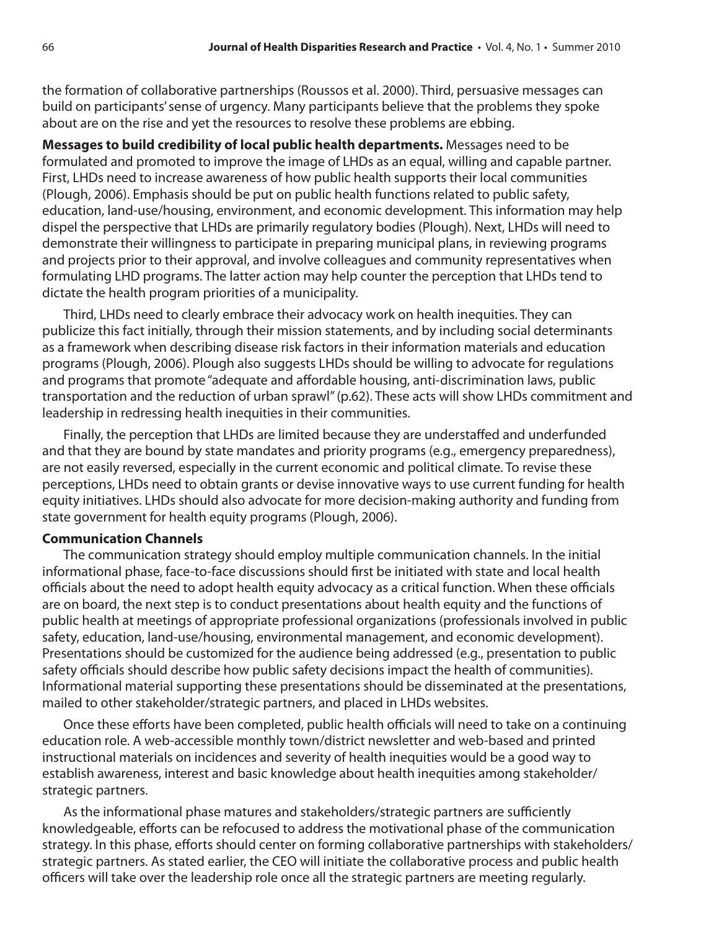the formation of collaborative partnerships (Roussos et al. 2000). Third, persuasive messages can build on participants' sense of urgency. Many participants believe that the problems they spoke about are on the rise and yet the resources to resolve these problems are ebbing.

**Messages to build credibility of local public health departments.** Messages need to be formulated and promoted to improve the image of LHDs as an equal, willing and capable partner. First, LHDs need to increase awareness of how public health supports their local communities (Plough, 2006). Emphasis should be put on public health functions related to public safety, education, land-use/housing, environment, and economic development. This information may help dispel the perspective that LHDs are primarily regulatory bodies (Plough). Next, LHDs will need to demonstrate their willingness to participate in preparing municipal plans, in reviewing programs and projects prior to their approval, and involve colleagues and community representatives when formulating LHD programs. The latter action may help counter the perception that LHDs tend to dictate the health program priorities of a municipality.

Third, LHDs need to clearly embrace their advocacy work on health inequities. They can publicize this fact initially, through their mission statements, and by including social determinants as a framework when describing disease risk factors in their information materials and education programs (Plough, 2006). Plough also suggests LHDs should be willing to advocate for regulations and programs that promote "adequate and affordable housing, anti-discrimination laws, public transportation and the reduction of urban sprawl" (p.62). These acts will show LHDs commitment and leadership in redressing health inequities in their communities.

Finally, the perception that LHDs are limited because they are understaffed and underfunded and that they are bound by state mandates and priority programs (e.g., emergency preparedness), are not easily reversed, especially in the current economic and political climate. To revise these perceptions, LHDs need to obtain grants or devise innovative ways to use current funding for health equity initiatives. LHDs should also advocate for more decision-making authority and funding from state government for health equity programs (Plough, 2006).

#### **Communication Channels**

The communication strategy should employ multiple communication channels. In the initial informational phase, face-to-face discussions should first be initiated with state and local health officials about the need to adopt health equity advocacy as a critical function. When these officials are on board, the next step is to conduct presentations about health equity and the functions of public health at meetings of appropriate professional organizations (professionals involved in public safety, education, land-use/housing, environmental management, and economic development). Presentations should be customized for the audience being addressed (e.g., presentation to public safety officials should describe how public safety decisions impact the health of communities). Informational material supporting these presentations should be disseminated at the presentations, mailed to other stakeholder/strategic partners, and placed in LHDs websites.

Once these efforts have been completed, public health officials will need to take on a continuing education role. A web-accessible monthly town/district newsletter and web-based and printed instructional materials on incidences and severity of health inequities would be a good way to establish awareness, interest and basic knowledge about health inequities among stakeholder/ strategic partners.

As the informational phase matures and stakeholders/strategic partners are sufficiently knowledgeable, efforts can be refocused to address the motivational phase of the communication strategy. In this phase, efforts should center on forming collaborative partnerships with stakeholders/ strategic partners. As stated earlier, the CEO will initiate the collaborative process and public health officers will take over the leadership role once all the strategic partners are meeting regularly.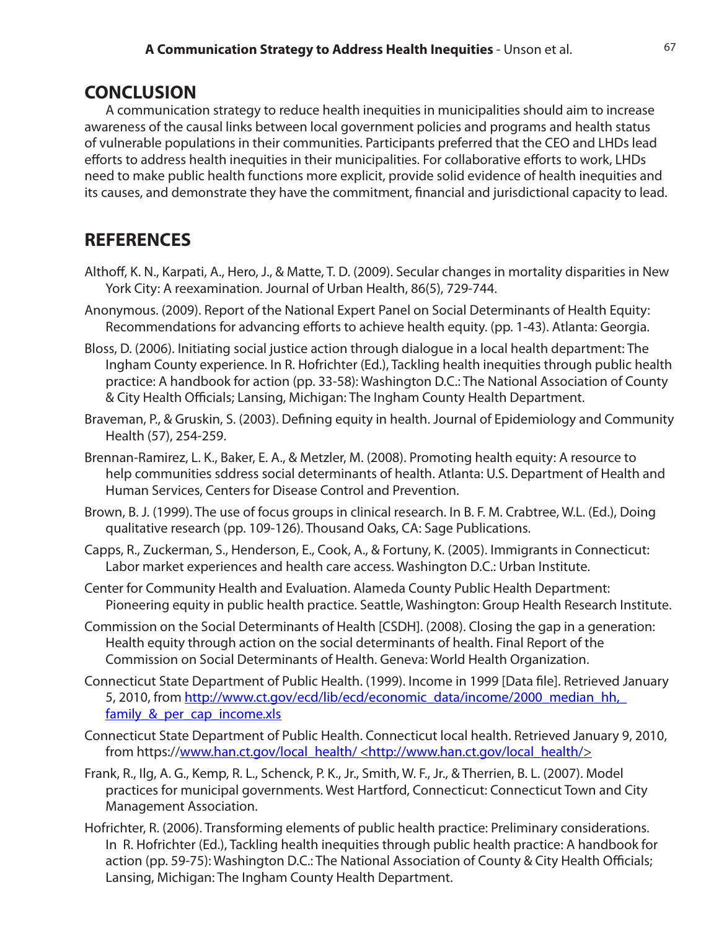### **CONCLUSION**

A communication strategy to reduce health inequities in municipalities should aim to increase awareness of the causal links between local government policies and programs and health status of vulnerable populations in their communities. Participants preferred that the CEO and LHDs lead efforts to address health inequities in their municipalities. For collaborative efforts to work, LHDs need to make public health functions more explicit, provide solid evidence of health inequities and its causes, and demonstrate they have the commitment, financial and jurisdictional capacity to lead.

## **REFERENCES**

- Althoff, K. N., Karpati, A., Hero, J., & Matte, T. D. (2009). Secular changes in mortality disparities in New York City: A reexamination. Journal of Urban Health, 86(5), 729-744.
- Anonymous. (2009). Report of the National Expert Panel on Social Determinants of Health Equity: Recommendations for advancing efforts to achieve health equity. (pp. 1-43). Atlanta: Georgia.
- Bloss, D. (2006). Initiating social justice action through dialogue in a local health department: The Ingham County experience. In R. Hofrichter (Ed.), Tackling health inequities through public health practice: A handbook for action (pp. 33-58): Washington D.C.: The National Association of County & City Health Officials; Lansing, Michigan: The Ingham County Health Department.
- Braveman, P., & Gruskin, S. (2003). Defining equity in health. Journal of Epidemiology and Community Health (57), 254-259.
- Brennan-Ramirez, L. K., Baker, E. A., & Metzler, M. (2008). Promoting health equity: A resource to help communities sddress social determinants of health. Atlanta: U.S. Department of Health and Human Services, Centers for Disease Control and Prevention.
- Brown, B. J. (1999). The use of focus groups in clinical research. In B. F. M. Crabtree, W.L. (Ed.), Doing qualitative research (pp. 109-126). Thousand Oaks, CA: Sage Publications.
- Capps, R., Zuckerman, S., Henderson, E., Cook, A., & Fortuny, K. (2005). Immigrants in Connecticut: Labor market experiences and health care access. Washington D.C.: Urban Institute.
- Center for Community Health and Evaluation. Alameda County Public Health Department: Pioneering equity in public health practice. Seattle, Washington: Group Health Research Institute.
- Commission on the Social Determinants of Health [CSDH]. (2008). Closing the gap in a generation: Health equity through action on the social determinants of health. Final Report of the Commission on Social Determinants of Health. Geneva: World Health Organization.
- Connecticut State Department of Public Health. (1999). Income in 1999 [Data file]. Retrieved January 5, 2010, from http://www.ct.gov/ecd/lib/ecd/economic\_data/income/2000\_median\_hh, family & per cap income.xls
- Connecticut State Department of Public Health. Connecticut local health. Retrieved January 9, 2010, from https://www.han.ct.gov/local\_health/ <http://www.han.ct.gov/local\_health/>
- Frank, R., Ilg, A. G., Kemp, R. L., Schenck, P. K., Jr., Smith, W. F., Jr., & Therrien, B. L. (2007). Model practices for municipal governments. West Hartford, Connecticut: Connecticut Town and City Management Association.
- Hofrichter, R. (2006). Transforming elements of public health practice: Preliminary considerations. In R. Hofrichter (Ed.), Tackling health inequities through public health practice: A handbook for action (pp. 59-75): Washington D.C.: The National Association of County & City Health Officials; Lansing, Michigan: The Ingham County Health Department.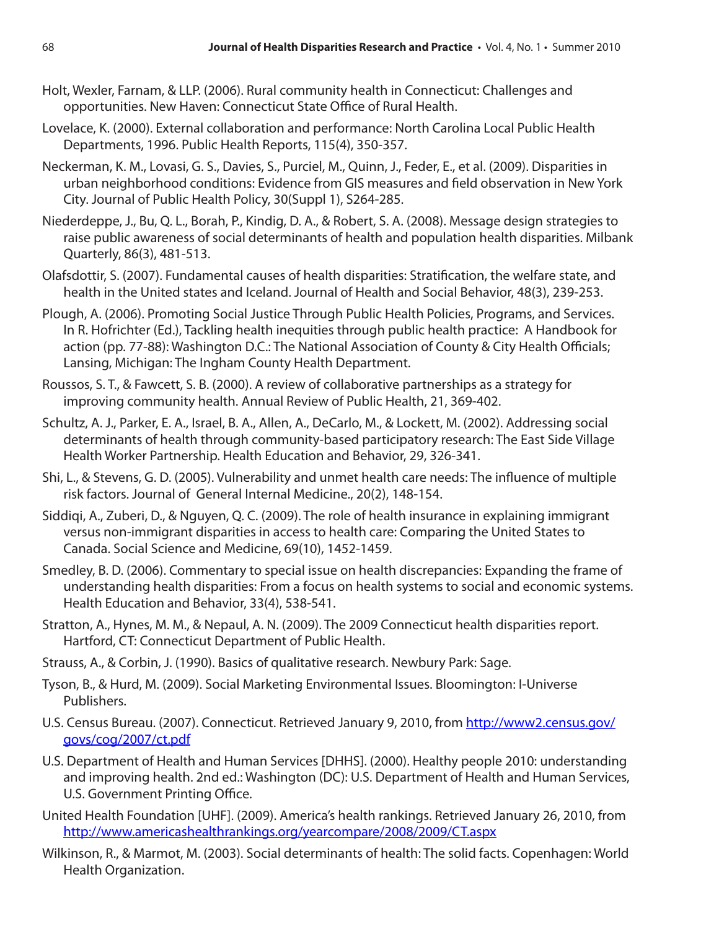- Holt, Wexler, Farnam, & LLP. (2006). Rural community health in Connecticut: Challenges and opportunities. New Haven: Connecticut State Office of Rural Health.
- Lovelace, K. (2000). External collaboration and performance: North Carolina Local Public Health Departments, 1996. Public Health Reports, 115(4), 350-357.
- Neckerman, K. M., Lovasi, G. S., Davies, S., Purciel, M., Quinn, J., Feder, E., et al. (2009). Disparities in urban neighborhood conditions: Evidence from GIS measures and field observation in New York City. Journal of Public Health Policy, 30(Suppl 1), S264-285.
- Niederdeppe, J., Bu, Q. L., Borah, P., Kindig, D. A., & Robert, S. A. (2008). Message design strategies to raise public awareness of social determinants of health and population health disparities. Milbank Quarterly, 86(3), 481-513.
- Olafsdottir, S. (2007). Fundamental causes of health disparities: Stratification, the welfare state, and health in the United states and Iceland. Journal of Health and Social Behavior, 48(3), 239-253.
- Plough, A. (2006). Promoting Social Justice Through Public Health Policies, Programs, and Services. In R. Hofrichter (Ed.), Tackling health inequities through public health practice: A Handbook for action (pp. 77-88): Washington D.C.: The National Association of County & City Health Officials; Lansing, Michigan: The Ingham County Health Department.
- Roussos, S. T., & Fawcett, S. B. (2000). A review of collaborative partnerships as a strategy for improving community health. Annual Review of Public Health, 21, 369-402.
- Schultz, A. J., Parker, E. A., Israel, B. A., Allen, A., DeCarlo, M., & Lockett, M. (2002). Addressing social determinants of health through community-based participatory research: The East Side Village Health Worker Partnership. Health Education and Behavior, 29, 326-341.
- Shi, L., & Stevens, G. D. (2005). Vulnerability and unmet health care needs: The influence of multiple risk factors. Journal of General Internal Medicine., 20(2), 148-154.
- Siddiqi, A., Zuberi, D., & Nguyen, Q. C. (2009). The role of health insurance in explaining immigrant versus non-immigrant disparities in access to health care: Comparing the United States to Canada. Social Science and Medicine, 69(10), 1452-1459.
- Smedley, B. D. (2006). Commentary to special issue on health discrepancies: Expanding the frame of understanding health disparities: From a focus on health systems to social and economic systems. Health Education and Behavior, 33(4), 538-541.
- Stratton, A., Hynes, M. M., & Nepaul, A. N. (2009). The 2009 Connecticut health disparities report. Hartford, CT: Connecticut Department of Public Health.
- Strauss, A., & Corbin, J. (1990). Basics of qualitative research. Newbury Park: Sage.
- Tyson, B., & Hurd, M. (2009). Social Marketing Environmental Issues. Bloomington: I-Universe Publishers.
- U.S. Census Bureau. (2007). Connecticut. Retrieved January 9, 2010, from http://www2.census.gov/ govs/cog/2007/ct.pdf
- U.S. Department of Health and Human Services [DHHS]. (2000). Healthy people 2010: understanding and improving health. 2nd ed.: Washington (DC): U.S. Department of Health and Human Services, U.S. Government Printing Office.
- United Health Foundation [UHF]. (2009). America's health rankings. Retrieved January 26, 2010, from http://www.americashealthrankings.org/yearcompare/2008/2009/CT.aspx
- Wilkinson, R., & Marmot, M. (2003). Social determinants of health: The solid facts. Copenhagen: World Health Organization.